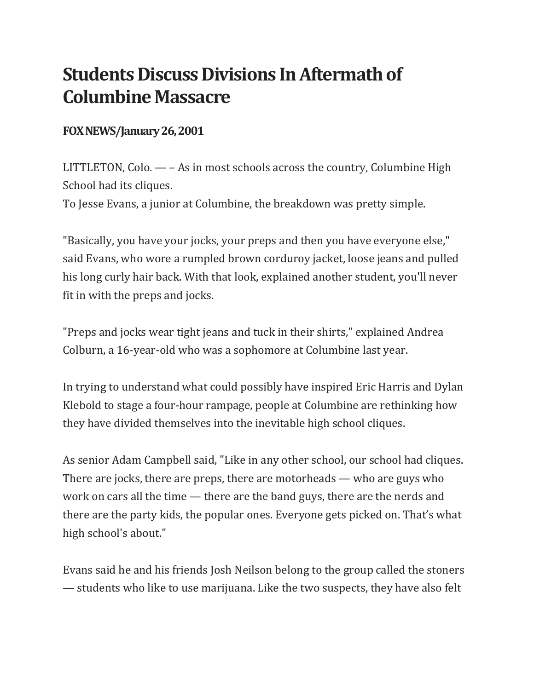## **Students Discuss Divisions In Aftermath of Columbine Massacre**

## **FOX NEWS/January 26, 2001**

LITTLETON, Colo. — – As in most schools across the country, Columbine High School had its cliques.

To Jesse Evans, a junior at Columbine, the breakdown was pretty simple.

"Basically, you have your jocks, your preps and then you have everyone else," said Evans, who wore a rumpled brown corduroy jacket, loose jeans and pulled his long curly hair back. With that look, explained another student, you'll never fit in with the preps and jocks.

"Preps and jocks wear tight jeans and tuck in their shirts," explained Andrea Colburn, a 16-year-old who was a sophomore at Columbine last year.

In trying to understand what could possibly have inspired Eric Harris and Dylan Klebold to stage a four-hour rampage, people at Columbine are rethinking how they have divided themselves into the inevitable high school cliques.

As senior Adam Campbell said, "Like in any other school, our school had cliques. There are jocks, there are preps, there are motorheads — who are guys who work on cars all the time — there are the band guys, there are the nerds and there are the party kids, the popular ones. Everyone gets picked on. That's what high school's about."

Evans said he and his friends Josh Neilson belong to the group called the stoners — students who like to use marijuana. Like the two suspects, they have also felt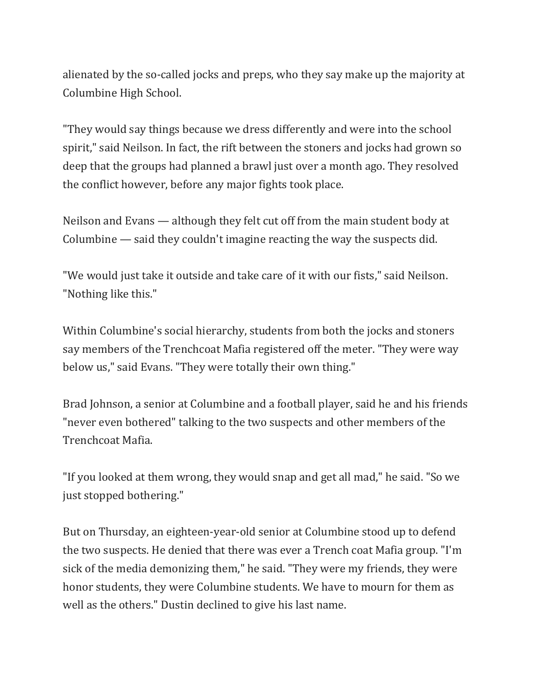alienated by the so-called jocks and preps, who they say make up the majority at Columbine High School.

"They would say things because we dress differently and were into the school spirit," said Neilson. In fact, the rift between the stoners and jocks had grown so deep that the groups had planned a brawl just over a month ago. They resolved the conflict however, before any major fights took place.

Neilson and Evans — although they felt cut off from the main student body at Columbine — said they couldn't imagine reacting the way the suspects did.

"We would just take it outside and take care of it with our fists," said Neilson. "Nothing like this."

Within Columbine's social hierarchy, students from both the jocks and stoners say members of the Trenchcoat Mafia registered off the meter. "They were way below us," said Evans. "They were totally their own thing."

Brad Johnson, a senior at Columbine and a football player, said he and his friends "never even bothered" talking to the two suspects and other members of the Trenchcoat Mafia.

"If you looked at them wrong, they would snap and get all mad," he said. "So we just stopped bothering."

But on Thursday, an eighteen-year-old senior at Columbine stood up to defend the two suspects. He denied that there was ever a Trench coat Mafia group. "I'm sick of the media demonizing them," he said. "They were my friends, they were honor students, they were Columbine students. We have to mourn for them as well as the others." Dustin declined to give his last name.